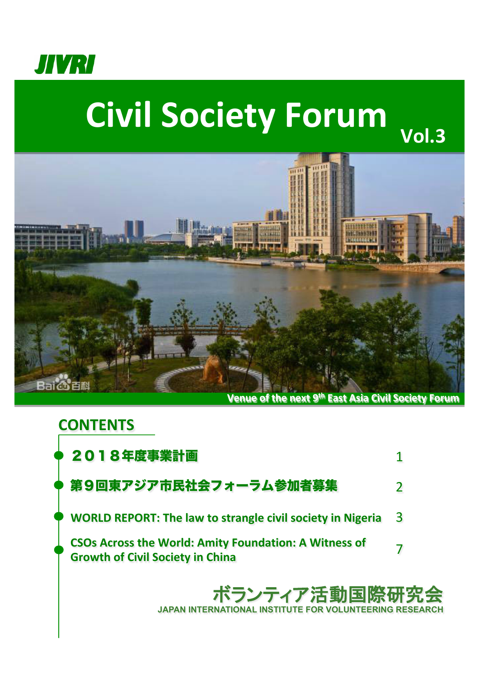

# **Civil Society Forum**



## ボランティア活動国際 **JAPAN INTERNATIONAL INSTITUTE FOR VOLUNTEERING RESEARCH CONTENTS** 2018年度事業計画 第9回東アジア市民社会フォーラム参加者募集 **WORLD REPORT: The law to strangle civil society in Nigeria** 1 2 3 **CSOs Across the World: Amity Foundation: A Witness of Growth of Civil Society in China Growth of Civil Society in China**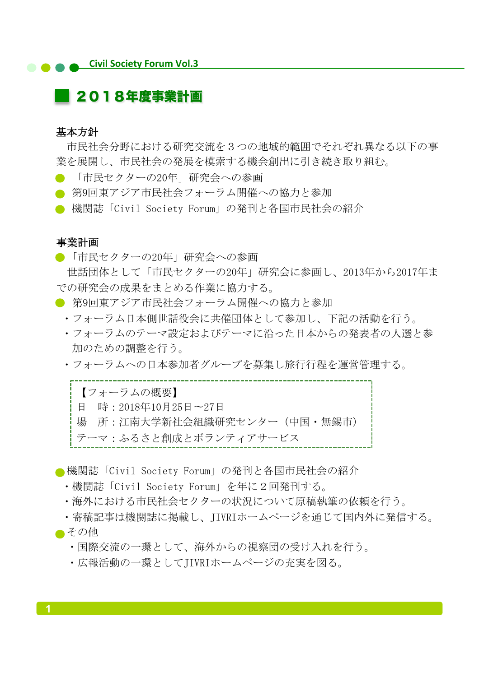## **Civil Society Forum Vol.3**

## ■ 2018年度事業計画

#### 基本方針

 市民社会分野における研究交流を3つの地域的範囲でそれぞれ異なる以下の事 業を展開し、市民社会の発展を模索する機会創出に引き続き取り組む。

- 「市民セクターの20年」研究会への参画
- 第9回東アジア市民社会フォーラム開催への協力と参加
- 機関誌「Civil Society Forum」の発刊と各国市民社会の紹介

#### 事業計画

●「市民セクターの20年」研究会への参画

 世話団体として「市民セクターの20年」研究会に参画し、2013年から2017年ま での研究会の成果をまとめる作業に協力する。 

- 第9回東アジア市民社会フォーラム開催への協力と参加
	- ・フォーラム日本側世話役会に共催団体として参加し、下記の活動を行う。
	- ・フォーラムのテーマ設定およびテーマに沿った日本からの発表者の人選と参 加のための調整を行う。
	- ・フォーラムへの日本参加者グループを募集し旅行行程を運営管理する。

in 197 【フォーラムの概要】 日 時:2018年10月25日〜27日 場 所:江南大学新社会組織研究センター(中国・無錫市) テーマ:ふるさと創成とボランティアサービス 

■機関誌「Civil Society Forum」の発刊と各国市民社会の紹介

- ·機関誌「Civil Society Forum」を年に2回発刊する。
- ・海外における市民社会セクターの状況について原稿執筆の依頼を行う。
- ・寄稿記事は機関誌に掲載し、JIVRIホームページを通じて国内外に発信する。
- ■その他
	- ・国際交流の一環として、海外からの視察団の受け入れを行う。
	- ・広報活動の一環としてJIVRIホームページの充実を図る。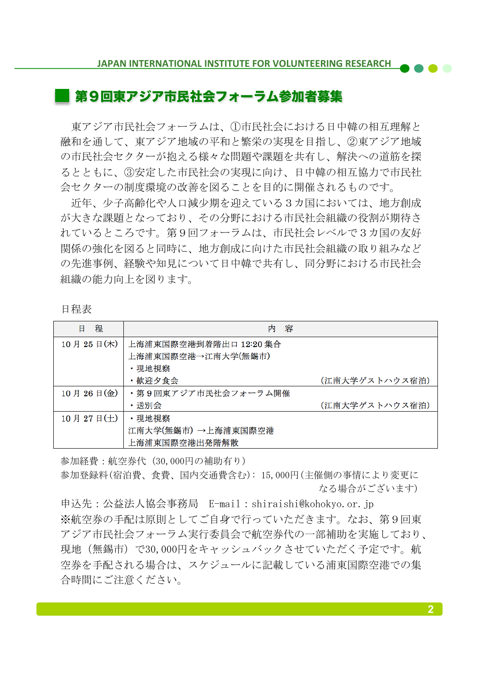### 第9回東アジア市民社会フォーラム参加者募集

 東アジア市民社会フォーラムは、①市民社会における日中韓の相互理解と 融和を通して、東アジア地域の平和と繁栄の実現を目指し、②東アジア地域 の市民社会セクターが抱える様々な問題や課題を共有し、解決への道筋を探 るとともに、③安定した市民社会の実現に向け、日中韓の相互協力で市民社 会セクターの制度環境の改善を図ることを目的に開催されるものです。

 近年、少子高齢化や人口減少期を迎えている3カ国においては、地方創成 が大きな課題となっており、その分野における市民社会組織の役割が期待さ れているところです。第9回フォーラムは、市民社会レベルで3カ国の友好 関係の強化を図ると同時に、地方創成に向けた市民社会組織の取り組みなど の先進事例、経験や知見について日中韓で共有し、同分野における市民社会 組織の能力向上を図ります。

|--|

| 程<br>日                                   | 容<br>内                 |                |
|------------------------------------------|------------------------|----------------|
| $10 \text{ H } 25 \text{ H} (\text{\#})$ | 上海浦東国際空港到着階出口 12:20 集合 |                |
|                                          | 上海浦東国際空港→江南大学(無錫市)     |                |
|                                          | ・現地視察                  |                |
|                                          | ・歓迎夕食会                 | (江南大学ゲストハウス宿泊) |
| 10月26日(金)                                | ・第9回東アジア市民社会フォーラム開催    |                |
|                                          | ・送別会                   | (江南大学ゲストハウス宿泊) |
| $10 \text{ H } 27 \text{ H}(\pm)$        | ・現地視察                  |                |
|                                          | 江南大学(無錫市) →上海浦東国際空港    |                |
|                                          | 上海浦東国際空港出発階解散          |                |

参加経費:航空券代(30,000円の補助有り)

参加登録料(宿泊費、食費、国内交通費含む): 15,000円(主催側の事情により変更に なる場合がございます)

申込先:公益法人協会事務局 E-mail:shiraishi@kohokyo.or.jp ※航空券の手配は原則としてご自身で行っていただきます。なお、第9回東 アジア市民社会フォーラム実行委員会で航空券代の一部補助を実施しており、 現地(無錫市)で30,000円をキャッシュバックさせていただく予定です。航 空券を手配される場合は、スケジュールに記載している浦東国際空港での集 合時間にご注意ください。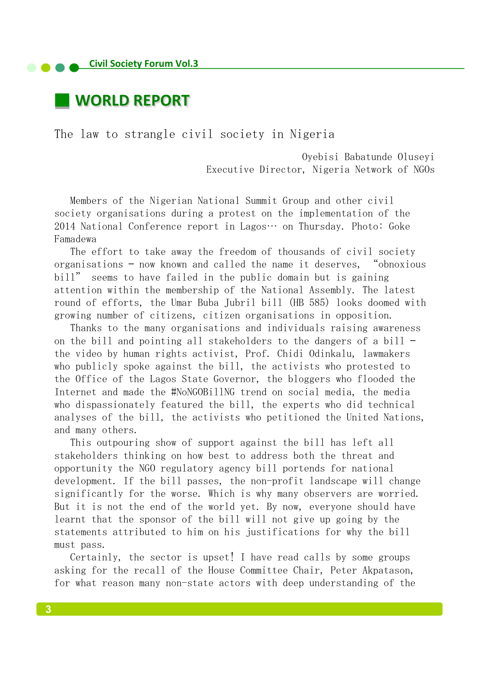## **WORLD REPORT**

The law to strangle civil society in Nigeria

 Oyebisi Babatunde Oluseyi Executive Director, Nigeria Network of NGOs

Members of the Nigerian National Summit Group and other civil society organisations during a protest on the implementation of the  $2014$  National Conference report in Lagos… on Thursday. Photo: Goke Famadewa 

The effort to take away the freedom of thousands of civil society organisations  $-$  now known and called the name it deserves, "obnoxious bill" seems to have failed in the public domain but is gaining attention within the membership of the National Assembly. The latest round of efforts, the Umar Buba Jubril bill (HB 585) looks doomed with growing number of citizens, citizen organisations in opposition.

Thanks to the many organisations and individuals raising awareness on the bill and pointing all stakeholders to the dangers of a bill  $$ the video by human rights activist, Prof. Chidi Odinkalu, lawmakers who publicly spoke against the bill, the activists who protested to the Office of the Lagos State Governor, the bloggers who flooded the Internet and made the #NoNGOBillNG trend on social media, the media who dispassionately featured the bill, the experts who did technical analyses of the bill, the activists who petitioned the United Nations, and many others.

This outpouring show of support against the bill has left all stakeholders thinking on how best to address both the threat and opportunity the NGO regulatory agency bill portends for national development. If the bill passes, the non-profit landscape will change significantly for the worse. Which is why many observers are worried. But it is not the end of the world yet. By now, everyone should have learnt that the sponsor of the bill will not give up going by the statements attributed to him on his justifications for why the bill must pass.

Certainly, the sector is upset! I have read calls by some groups asking for the recall of the House Committee Chair, Peter Akpatason, for what reason many non-state actors with deep understanding of the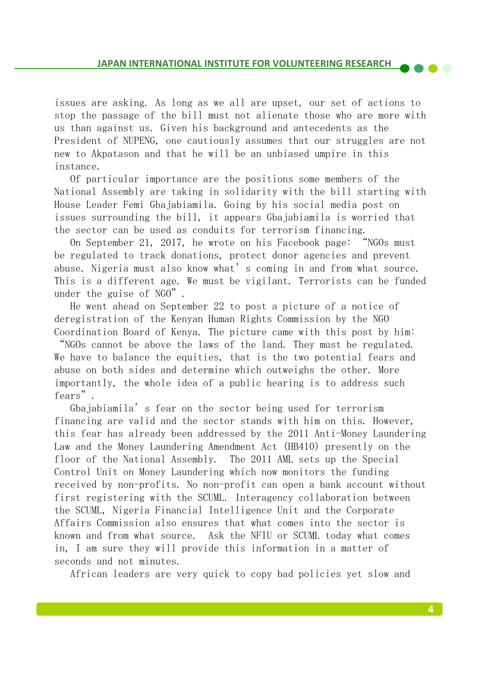issues are asking. As long as we all are upset, our set of actions to stop the passage of the bill must not alienate those who are more with us than against us. Given his background and antecedents as the President of NUPENG, one cautiously assumes that our struggles are not new to Akpatason and that he will be an unbiased umpire in this instance. 

Of particular importance are the positions some members of the National Assembly are taking in solidarity with the bill starting with House Leader Femi Gbajabiamila. Going by his social media post on issues surrounding the bill, it appears Gbajabiamila is worried that the sector can be used as conduits for terrorism financing.

On September 21, 2017, he wrote on his Facebook page: "NGOs must be regulated to track donations, protect donor agencies and prevent abuse. Nigeria must also know what's coming in and from what source. This is a different age. We must be vigilant. Terrorists can be funded under the guise of  $NGO$ ".

He went ahead on September 22 to post a picture of a notice of deregistration of the Kenyan Human Rights Commission by the NGO Coordination Board of Kenya. The picture came with this post by him:

"NGOs cannot be above the laws of the land. They must be regulated. We have to balance the equities, that is the two potential fears and abuse on both sides and determine which outweighs the other. More importantly, the whole idea of a public hearing is to address such fears". 

Gbajabiamila's fear on the sector being used for terrorism financing are valid and the sector stands with him on this. However, this fear has already been addressed by the 2011 Anti-Money Laundering Law and the Money Laundering Amendment Act (HB410) presently on the floor of the National Assembly. The 2011 AML sets up the Special Control Unit on Money Laundering which now monitors the funding received by non-profits. No non-profit can open a bank account without first registering with the SCUML. Interagency collaboration between the SCUML, Nigeria Financial Intelligence Unit and the Corporate Affairs Commission also ensures that what comes into the sector is known and from what source. Ask the NFIU or SCUML today what comes in, I am sure they will provide this information in a matter of seconds and not minutes.

African leaders are very quick to copy bad policies yet slow and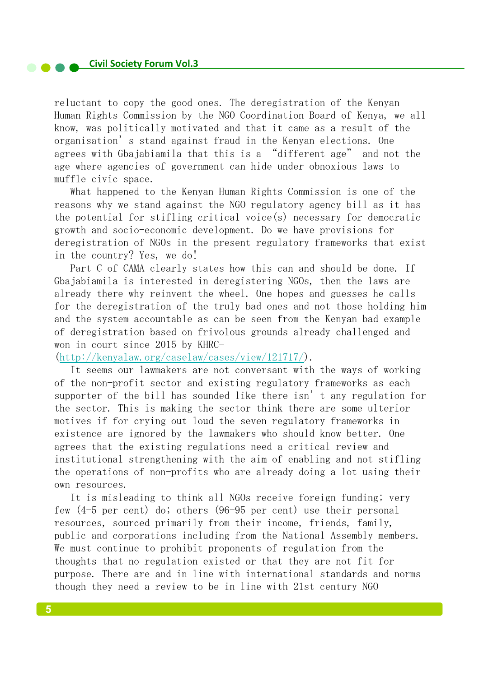reluctant to copy the good ones. The deregistration of the Kenyan Human Rights Commission by the NGO Coordination Board of Kenya, we all know, was politically motivated and that it came as a result of the organisation's stand against fraud in the Kenyan elections. One agrees with Gbajabiamila that this is a "different age" and not the age where agencies of government can hide under obnoxious laws to muffle civic space.

What happened to the Kenyan Human Rights Commission is one of the reasons why we stand against the NGO regulatory agency bill as it has the potential for stifling critical voice(s) necessary for democratic growth and socio-economic development. Do we have provisions for deregistration of NGOs in the present regulatory frameworks that exist in the country? Yes, we do!

Part C of CAMA clearly states how this can and should be done. If Gbajabiamila is interested in deregistering NGOs, then the laws are already there why reinvent the wheel. One hopes and guesses he calls for the deregistration of the truly bad ones and not those holding him and the system accountable as can be seen from the Kenyan bad example of deregistration based on frivolous grounds already challenged and won in court since 2015 by KHRC-

(http://kenyalaw.org/caselaw/cases/view/121717/). 

It seems our lawmakers are not conversant with the ways of working of the non-profit sector and existing regulatory frameworks as each supporter of the bill has sounded like there isn't any regulation for the sector. This is making the sector think there are some ulterior motives if for crying out loud the seven regulatory frameworks in existence are ignored by the lawmakers who should know better. One agrees that the existing regulations need a critical review and institutional strengthening with the aim of enabling and not stifling the operations of non-profits who are already doing a lot using their own resources.

It is misleading to think all NGOs receive foreign funding; very few  $(4-5$  per cent) do; others  $(96-95$  per cent) use their personal resources, sourced primarily from their income, friends, family, public and corporations including from the National Assembly members. We must continue to prohibit proponents of regulation from the thoughts that no regulation existed or that they are not fit for purpose. There are and in line with international standards and norms though they need a review to be in line with 21st century NGO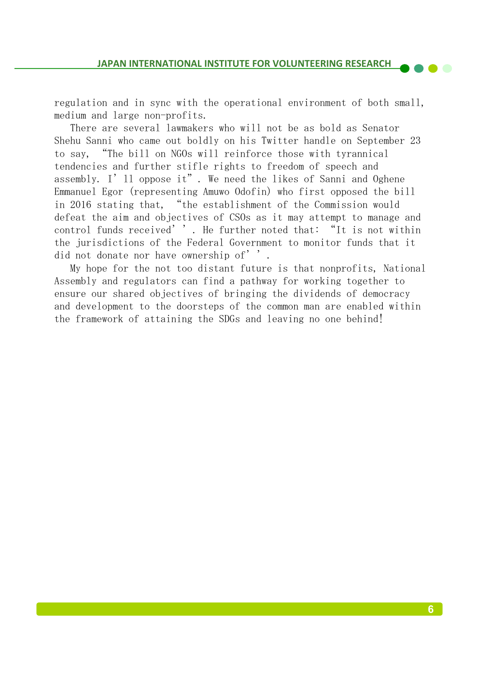regulation and in sync with the operational environment of both small, medium and large non-profits.

There are several lawmakers who will not be as bold as Senator Shehu Sanni who came out boldly on his Twitter handle on September 23 to say, "The bill on NGOs will reinforce those with tyrannical tendencies and further stifle rights to freedom of speech and assembly. I'll oppose it". We need the likes of Sanni and Oghene Emmanuel Egor (representing Amuwo Odofin) who first opposed the bill in 2016 stating that, "the establishment of the Commission would defeat the aim and objectives of CSOs as it may attempt to manage and control funds received''. He further noted that: "It is not within the jurisdictions of the Federal Government to monitor funds that it did not donate nor have ownership of''.

My hope for the not too distant future is that nonprofits, National Assembly and regulators can find a pathway for working together to ensure our shared objectives of bringing the dividends of democracy and development to the doorsteps of the common man are enabled within the framework of attaining the SDGs and leaving no one behind!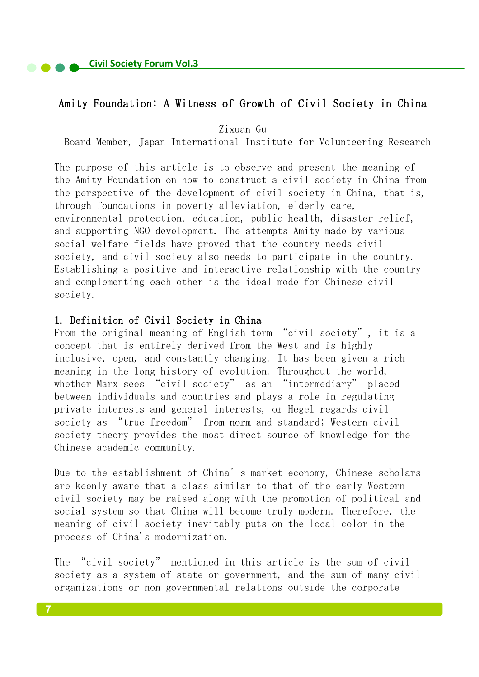#### Amity Foundation: A Witness of Growth of Civil Society in China

Zixuan Gu 

Board Member, Japan International Institute for Volunteering Research

The purpose of this article is to observe and present the meaning of the Amity Foundation on how to construct a civil society in China from the perspective of the development of civil society in China, that is, through foundations in poverty alleviation, elderly care, environmental protection, education, public health, disaster relief, and supporting NGO development. The attempts Amity made by various social welfare fields have proved that the country needs civil society, and civil society also needs to participate in the country. Establishing a positive and interactive relationship with the country and complementing each other is the ideal mode for Chinese civil society. 

#### 1. Definition of Civil Society in China

From the original meaning of English term "civil society", it is a concept that is entirely derived from the West and is highly inclusive, open, and constantly changing. It has been given a rich meaning in the long history of evolution. Throughout the world, whether Marx sees "civil society" as an "intermediary" placed between individuals and countries and plays a role in regulating private interests and general interests, or Hegel regards civil society as "true freedom" from norm and standard; Western civil society theory provides the most direct source of knowledge for the Chinese academic community.

Due to the establishment of China's market economy, Chinese scholars are keenly aware that a class similar to that of the early Western civil society may be raised along with the promotion of political and social system so that China will become truly modern. Therefore, the meaning of civil society inevitably puts on the local color in the process of China's modernization.

The "civil society" mentioned in this article is the sum of civil society as a system of state or government, and the sum of many civil organizations or non-governmental relations outside the corporate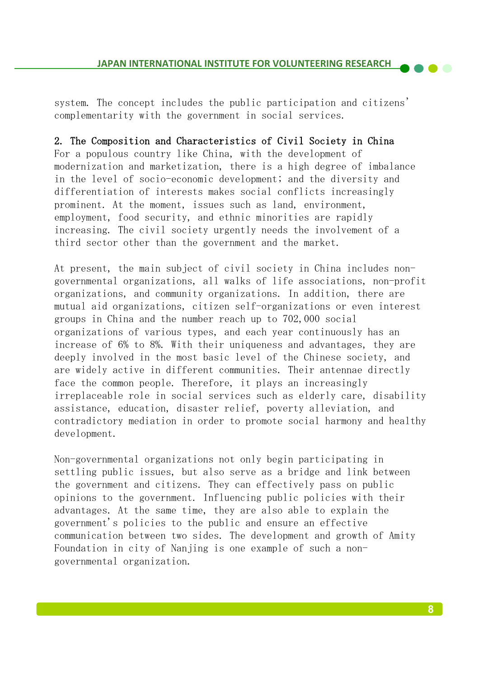#### **JAPAN INTERNATIONAL INSTITUTE FOR VOLUNTEERING RESEARCH**

system. The concept includes the public participation and citizens' complementarity with the government in social services.

2. The Composition and Characteristics of Civil Society in China For a populous country like China, with the development of modernization and marketization, there is a high degree of imbalance in the level of socio-economic development; and the diversity and differentiation of interests makes social conflicts increasingly prominent. At the moment, issues such as land, environment, employment, food security, and ethnic minorities are rapidly increasing. The civil society urgently needs the involvement of a third sector other than the government and the market.

At present, the main subject of civil society in China includes nongovernmental organizations, all walks of life associations, non-profit organizations, and community organizations. In addition, there are mutual aid organizations, citizen self-organizations or even interest groups in China and the number reach up to 702,000 social organizations of various types, and each year continuously has an increase of 6% to 8%. With their uniqueness and advantages, they are deeply involved in the most basic level of the Chinese society, and are widely active in different communities. Their antennae directly face the common people. Therefore, it plays an increasingly irreplaceable role in social services such as elderly care, disability assistance, education, disaster relief, poverty alleviation, and contradictory mediation in order to promote social harmony and healthy development. 

Non-governmental organizations not only begin participating in settling public issues, but also serve as a bridge and link between the government and citizens. They can effectively pass on public opinions to the government. Influencing public policies with their advantages. At the same time, they are also able to explain the government's policies to the public and ensure an effective communication between two sides. The development and growth of Amity Foundation in city of Nanjing is one example of such a nongovernmental organization.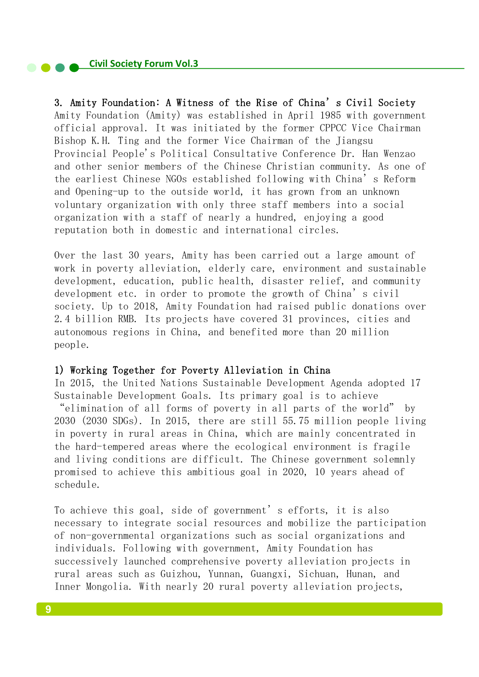3. Amity Foundation: A Witness of the Rise of China's Civil Society Amity Foundation (Amity) was established in April 1985 with government official approval. It was initiated by the former CPPCC Vice Chairman Bishop K.H. Ting and the former Vice Chairman of the Jiangsu Provincial People's Political Consultative Conference Dr. Han Wenzao and other senior members of the Chinese Christian community. As one of the earliest Chinese NGOs established following with China's Reform and Opening-up to the outside world, it has grown from an unknown voluntary organization with only three staff members into a social organization with a staff of nearly a hundred, enjoying a good reputation both in domestic and international circles.

Over the last 30 years, Amity has been carried out a large amount of work in poverty alleviation, elderly care, environment and sustainable development, education, public health, disaster relief, and community development etc. in order to promote the growth of China's civil society. Up to 2018, Amity Foundation had raised public donations over 2.4 billion RMB. Its projects have covered 31 provinces, cities and autonomous regions in China, and benefited more than 20 million people. 

#### 1) Working Together for Poverty Alleviation in China

In 2015, the United Nations Sustainable Development Agenda adopted 17 Sustainable Development Goals. Its primary goal is to achieve "elimination of all forms of poverty in all parts of the world" by 2030 (2030 SDGs). In 2015, there are still 55.75 million people living in poverty in rural areas in China, which are mainly concentrated in the hard-tempered areas where the ecological environment is fragile and living conditions are difficult. The Chinese government solemnly promised to achieve this ambitious goal in 2020, 10 years ahead of schedule. 

To achieve this goal, side of government's efforts, it is also necessary to integrate social resources and mobilize the participation of non-governmental organizations such as social organizations and individuals. Following with government, Amity Foundation has successively launched comprehensive poverty alleviation projects in rural areas such as Guizhou, Yunnan, Guangxi, Sichuan, Hunan, and Inner Mongolia. With nearly 20 rural poverty alleviation projects,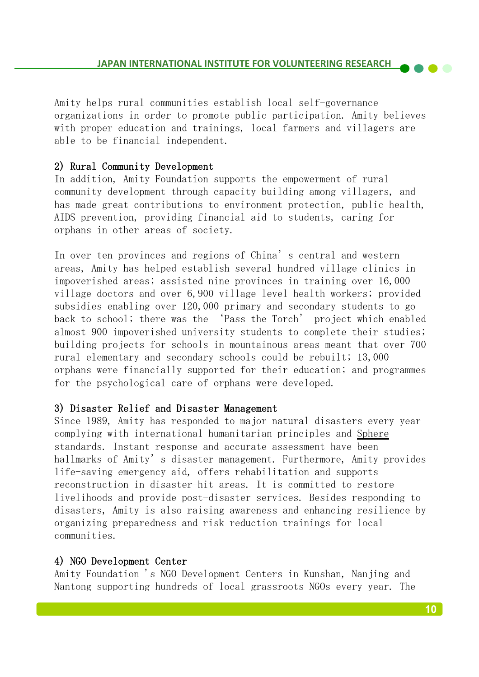Amity helps rural communities establish local self-governance organizations in order to promote public participation. Amity believes with proper education and trainings, local farmers and villagers are able to be financial independent.

#### 2) Rural Community Development

In addition, Amity Foundation supports the empowerment of rural community development through capacity building among villagers, and has made great contributions to environment protection, public health, AIDS prevention, providing financial aid to students, caring for orphans in other areas of society. 

In over ten provinces and regions of China's central and western areas, Amity has helped establish several hundred village clinics in impoverished areas; assisted nine provinces in training over 16,000 village doctors and over 6,900 village level health workers; provided subsidies enabling over 120,000 primary and secondary students to go back to school; there was the 'Pass the Torch' project which enabled almost 900 impoverished university students to complete their studies; building projects for schools in mountainous areas meant that over 700 rural elementary and secondary schools could be rebuilt; 13,000 orphans were financially supported for their education; and programmes for the psychological care of orphans were developed.

#### 3) Disaster Relief and Disaster Management

Since 1989, Amity has responded to major natural disasters every year complying with international humanitarian principles and Sphere standards. Instant response and accurate assessment have been hallmarks of Amity's disaster management. Furthermore, Amity provides life-saving emergency aid, offers rehabilitation and supports reconstruction in disaster-hit areas. It is committed to restore livelihoods and provide post-disaster services. Besides responding to disasters, Amity is also raising awareness and enhancing resilience by organizing preparedness and risk reduction trainings for local communities. 

#### 4) NGO Development Center

Amity Foundation 's NGO Development Centers in Kunshan, Nanjing and Nantong supporting hundreds of local grassroots NGOs every year. The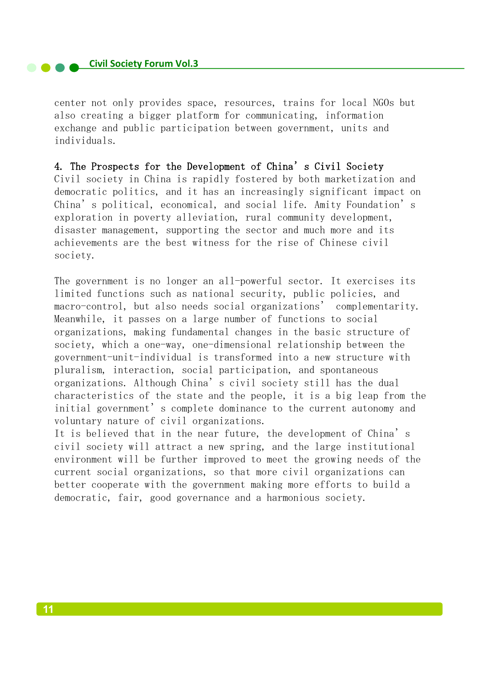**Civil Society Forum Vol.3** 

center not only provides space, resources, trains for local NGOs but also creating a bigger platform for communicating, information exchange and public participation between government, units and individuals. 

4. The Prospects for the Development of China's Civil Society Civil society in China is rapidly fostered by both marketization and democratic politics, and it has an increasingly significant impact on China's political, economical, and social life. Amity Foundation's exploration in poverty alleviation, rural community development, disaster management, supporting the sector and much more and its achievements are the best witness for the rise of Chinese civil society. 

The government is no longer an all-powerful sector. It exercises its limited functions such as national security, public policies, and macro-control, but also needs social organizations' complementarity. Meanwhile, it passes on a large number of functions to social organizations, making fundamental changes in the basic structure of society, which a one-way, one-dimensional relationship between the government-unit-individual is transformed into a new structure with pluralism, interaction, social participation, and spontaneous organizations. Although China's civil society still has the dual characteristics of the state and the people, it is a big leap from the initial government's complete dominance to the current autonomy and voluntary nature of civil organizations.

It is believed that in the near future, the development of China's civil society will attract a new spring, and the large institutional environment will be further improved to meet the growing needs of the current social organizations, so that more civil organizations can better cooperate with the government making more efforts to build a democratic, fair, good governance and a harmonious society.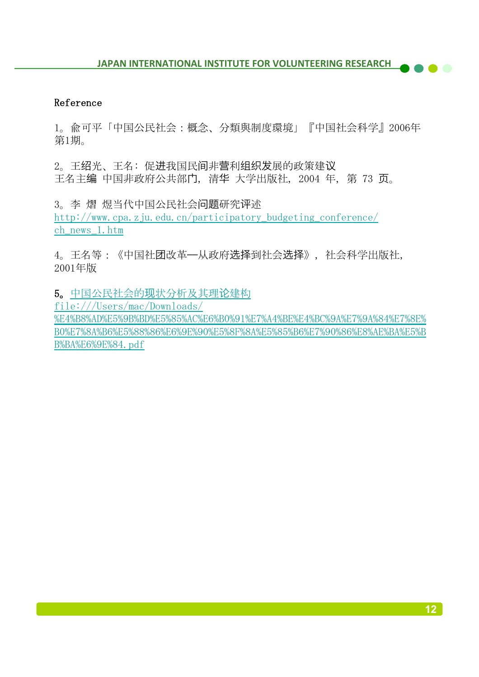#### Reference

1。兪可平「中国公民社会:概念、分類與制度環境」『中国社会科学』2006年 第1期。

2。王绍光、王名: 促进我国民间非营利组织发展的政策建议 王名主编 中国非政府公共部门, 清华 大学出版社, 2004 年, 第 73 页。

3。李 熠 煜当代中国公民社会问题研究评述 http://www.cpa.zju.edu.cn/participatory\_budgeting\_conference/ ch\_news\_1.htm

4。王名等:《中国社团改革——从政府选择到社会选择》,社会科学出版社, 2001年版

5。中国公民社会的现状分析及其理论建构 

file:///Users/mac/Downloads/ %E4%B8%AD%E5%9B%BD%E5%85%AC%E6%B0%91%E7%A4%BE%E4%BC%9A%E7%9A%84%E7%8E%

B0%E7%8A%B6%E5%88%86%E6%9E%90%E5%8F%8A%E5%85%B6%E7%90%86%E8%AE%BA%E5%B B%BA%E6%9E%84.pdf